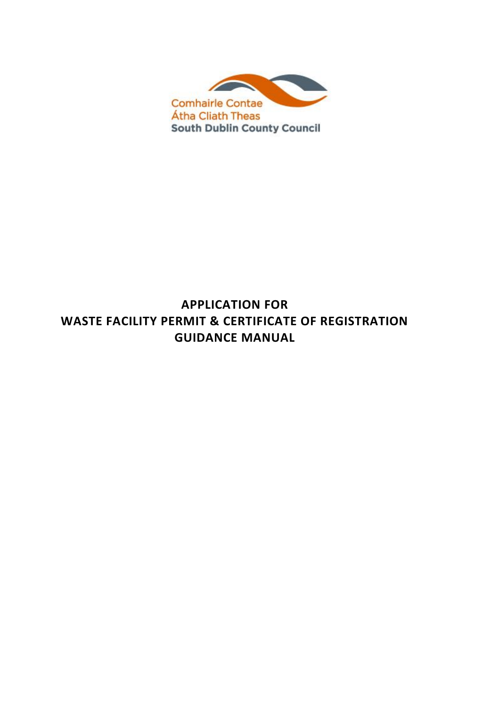

# **APPLICATION FOR WASTE FACILITY PERMIT & CERTIFICATE OF REGISTRATION GUIDANCE MANUAL**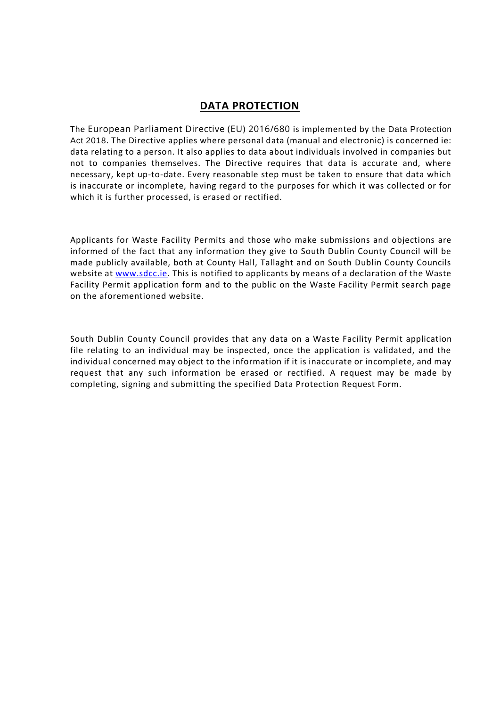# **DATA PROTECTION**

The European Parliament Directive (EU) 2016/680 is implemented by the Data Protection Act 2018. The Directive applies where personal data (manual and electronic) is concerned ie: data relating to a person. It also applies to data about individuals involved in companies but not to companies themselves. The Directive requires that data is accurate and, where necessary, kept up-to-date. Every reasonable step must be taken to ensure that data which is inaccurate or incomplete, having regard to the purposes for which it was collected or for which it is further processed, is erased or rectified.

Applicants for Waste Facility Permits and those who make submissions and objections are informed of the fact that any information they give to South Dublin County Council will be made publicly available, both at County Hall, Tallaght and on South Dublin County Councils website at [www.sdcc.ie.](http://www.sdcc.ie/) This is notified to applicants by means of a declaration of the Waste Facility Permit application form and to the public on the Waste Facility Permit search page on the aforementioned website.

South Dublin County Council provides that any data on a Waste Facility Permit application file relating to an individual may be inspected, once the application is validated, and the individual concerned may object to the information if it is inaccurate or incomplete, and may request that any such information be erased or rectified. A request may be made by completing, signing and submitting the specified Data Protection Request Form.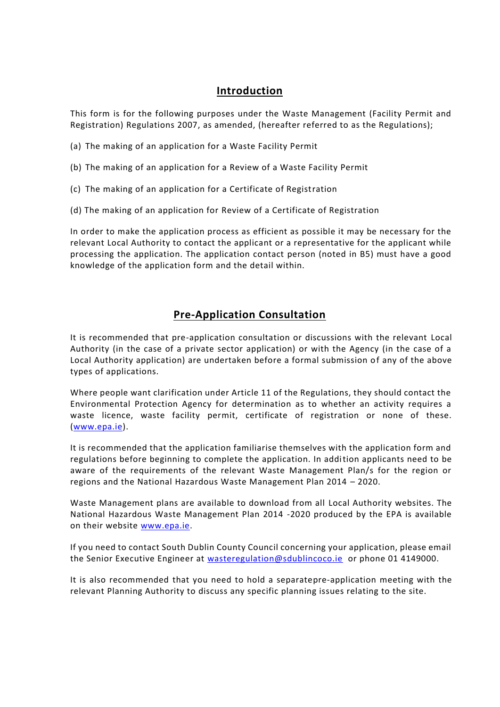### **Introduction**

This form is for the following purposes under the Waste Management (Facility Permit and Registration) Regulations 2007, as amended, (hereafter referred to as the Regulations);

- (a) The making of an application for a Waste Facility Permit
- (b) The making of an application for a Review of a Waste Facility Permit
- (c) The making of an application for a Certificate of Registration
- (d) The making of an application for Review of a Certificate of Registration

In order to make the application process as efficient as possible it may be necessary for the relevant Local Authority to contact the applicant or a representative for the applicant while processing the application. The application contact person (noted in B5) must have a good knowledge of the application form and the detail within.

## **Pre-Application Consultation**

It is recommended that pre-application consultation or discussions with the relevant Local Authority (in the case of a private sector application) or with the Agency (in the case of a Local Authority application) are undertaken before a formal submission of any of the above types of applications.

Where people want clarification under Article 11 of the Regulations, they should contact the Environmental Protection Agency for determination as to whether an activity requires a waste licence, waste facility permit, certificate of registration or none of these. [\(www.epa.ie\)](http://www.epa.ie/).

It is recommended that the application familiarise themselves with the application form and regulations before beginning to complete the application. In addition applicants need to be aware of the requirements of the relevant Waste Management Plan/s for the region or regions and the National Hazardous Waste Management Plan 2014 – 2020.

Waste Management plans are available to download from all Local Authority websites. The National Hazardous Waste Management Plan 2014 -2020 produced by the EPA is available on their website [www.epa.ie.](http://www.epa.ie/)

If you need to contact South Dublin County Council concerning your application, please email the Senior Executive Engineer at [wasteregulation@sdublincoco.ie](mailto:wasteregulation@sdublincoco.ie) or phone 01 4149000.

It is also recommended that you need to hold a separatepre-application meeting with the relevant Planning Authority to discuss any specific planning issues relating to the site.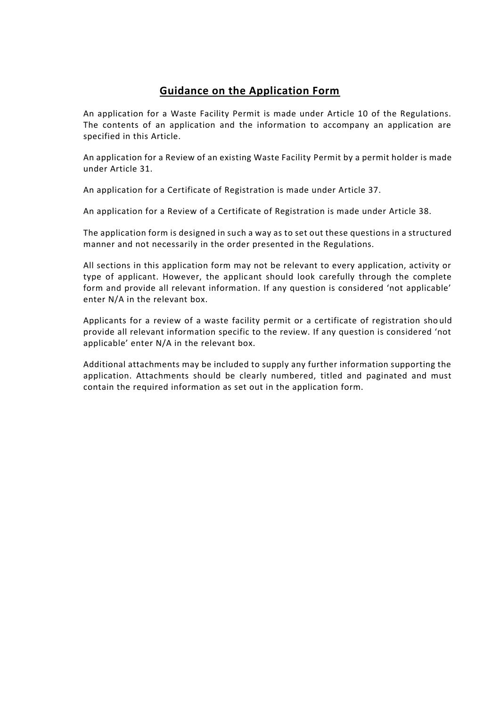## **Guidance on the Application Form**

An application for a Waste Facility Permit is made under Article 10 of the Regulations. The contents of an application and the information to accompany an application are specified in this Article.

An application for a Review of an existing Waste Facility Permit by a permit holder is made under Article 31.

An application for a Certificate of Registration is made under Article 37.

An application for a Review of a Certificate of Registration is made under Article 38.

The application form is designed in such a way as to set out these questions in a structured manner and not necessarily in the order presented in the Regulations.

All sections in this application form may not be relevant to every application, activity or type of applicant. However, the applicant should look carefully through the complete form and provide all relevant information. If any question is considered 'not applicable' enter N/A in the relevant box.

Applicants for a review of a waste facility permit or a certificate of registration sho uld provide all relevant information specific to the review. If any question is considered 'not applicable' enter N/A in the relevant box.

Additional attachments may be included to supply any further information supporting the application. Attachments should be clearly numbered, titled and paginated and must contain the required information as set out in the application form.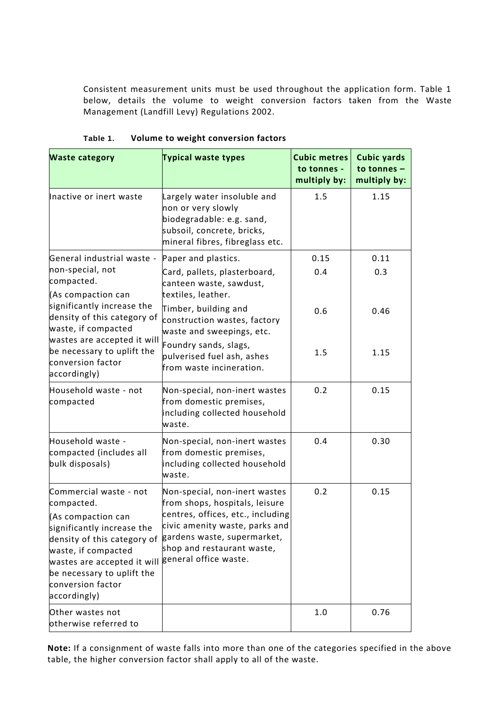Consistent measurement units must be used throughout the application form. Table 1 below, details the volume to weight conversion factors taken from the Waste Management (Landfill Levy) Regulations 2002.

| <b>Waste category</b>                                                                                                                                                              | <b>Typical waste types</b>                                                                                                                      | <b>Cubic metres</b><br>to tonnes -<br>multiply by: | <b>Cubic yards</b><br>to tonnes -<br>multiply by: |
|------------------------------------------------------------------------------------------------------------------------------------------------------------------------------------|-------------------------------------------------------------------------------------------------------------------------------------------------|----------------------------------------------------|---------------------------------------------------|
| Inactive or inert waste                                                                                                                                                            | Largely water insoluble and<br>non or very slowly<br>biodegradable: e.g. sand,<br>subsoil, concrete, bricks,<br>mineral fibres, fibreglass etc. | 1.5                                                | 1.15                                              |
| General industrial waste -<br>non-special, not<br>compacted.<br>(As compaction can                                                                                                 | Paper and plastics.<br>Card, pallets, plasterboard,<br>canteen waste, sawdust,<br>textiles, leather.                                            | 0.15<br>0.4                                        | 0.11<br>0.3                                       |
| significantly increase the<br>density of this category of<br>waste, if compacted<br>wastes are accepted it will<br>be necessary to uplift the<br>conversion factor<br>accordingly) | Timber, building and<br>construction wastes, factory<br>waste and sweepings, etc.                                                               | 0.6                                                | 0.46                                              |
|                                                                                                                                                                                    | Foundry sands, slags,<br>pulverised fuel ash, ashes<br>from waste incineration.                                                                 | 1.5                                                | 1.15                                              |
| Household waste - not<br>compacted                                                                                                                                                 | Non-special, non-inert wastes<br>from domestic premises,<br>including collected household<br>waste.                                             | 0.2                                                | 0.15                                              |
| Household waste -<br>compacted (includes all<br>bulk disposals)                                                                                                                    | Non-special, non-inert wastes<br>from domestic premises,<br>including collected household<br>waste.                                             | 0.4                                                | 0.30                                              |
| Commercial waste - not<br>compacted.<br>(As compaction can                                                                                                                         | Non-special, non-inert wastes<br>from shops, hospitals, leisure<br>centres, offices, etc., including                                            | 0.2                                                | 0.15                                              |
| significantly increase the<br>density of this category of<br>waste, if compacted<br>wastes are accepted it will<br>be necessary to uplift the<br>conversion factor<br>accordingly) | civic amenity waste, parks and<br>gardens waste, supermarket,<br>shop and restaurant waste,<br>general office waste.                            |                                                    |                                                   |
| Other wastes not<br>otherwise referred to                                                                                                                                          |                                                                                                                                                 | 1.0                                                | 0.76                                              |

**Table 1. Volume to weight conversion factors**

**Note:** If a consignment of waste falls into more than one of the categories specified in the above table, the higher conversion factor shall apply to all of the waste.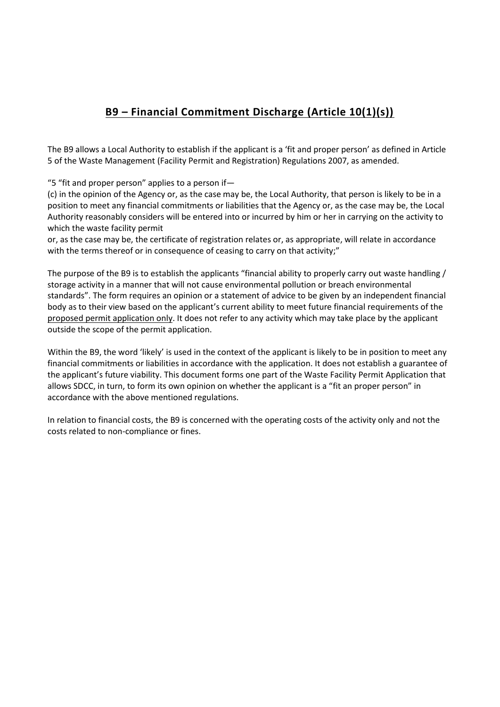# **B9 – Financial Commitment Discharge (Article 10(1)(s))**

The B9 allows a Local Authority to establish if the applicant is a 'fit and proper person' as defined in Article 5 of the Waste Management (Facility Permit and Registration) Regulations 2007, as amended.

"5 "fit and proper person" applies to a person if—

(c) in the opinion of the Agency or, as the case may be, the Local Authority, that person is likely to be in a position to meet any financial commitments or liabilities that the Agency or, as the case may be, the Local Authority reasonably considers will be entered into or incurred by him or her in carrying on the activity to which the waste facility permit

or, as the case may be, the certificate of registration relates or, as appropriate, will relate in accordance with the terms thereof or in consequence of ceasing to carry on that activity;"

The purpose of the B9 is to establish the applicants "financial ability to properly carry out waste handling / storage activity in a manner that will not cause environmental pollution or breach environmental standards". The form requires an opinion or a statement of advice to be given by an independent financial body as to their view based on the applicant's current ability to meet future financial requirements of the proposed permit application only. It does not refer to any activity which may take place by the applicant outside the scope of the permit application.

Within the B9, the word 'likely' is used in the context of the applicant is likely to be in position to meet any financial commitments or liabilities in accordance with the application. It does not establish a guarantee of the applicant's future viability. This document forms one part of the Waste Facility Permit Application that allows SDCC, in turn, to form its own opinion on whether the applicant is a "fit an proper person" in accordance with the above mentioned regulations.

In relation to financial costs, the B9 is concerned with the operating costs of the activity only and not the costs related to non-compliance or fines.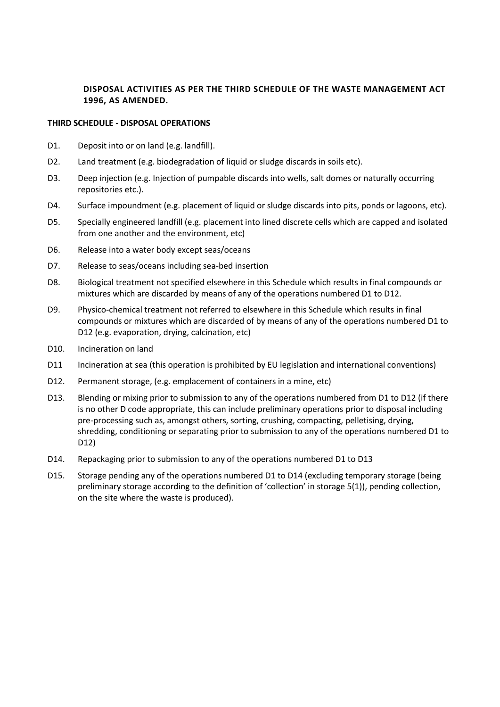### **DISPOSAL ACTIVITIES AS PER THE THIRD SCHEDULE OF THE WASTE MANAGEMENT ACT 1996, AS AMENDED.**

#### **THIRD SCHEDULE - DISPOSAL OPERATIONS**

- D1. Deposit into or on land (e.g. landfill).
- D2. Land treatment (e.g. biodegradation of liquid or sludge discards in soils etc).
- D3. Deep injection (e.g. Injection of pumpable discards into wells, salt domes or naturally occurring repositories etc.).
- D4. Surface impoundment (e.g. placement of liquid or sludge discards into pits, ponds or lagoons, etc).
- D5. Specially engineered landfill (e.g. placement into lined discrete cells which are capped and isolated from one another and the environment, etc)
- D6. Release into a water body except seas/oceans
- D7. Release to seas/oceans including sea-bed insertion
- D8. Biological treatment not specified elsewhere in this Schedule which results in final compounds or mixtures which are discarded by means of any of the operations numbered D1 to D12.
- D9. Physico-chemical treatment not referred to elsewhere in this Schedule which results in final compounds or mixtures which are discarded of by means of any of the operations numbered D1 to D12 (e.g. evaporation, drying, calcination, etc)
- D10. Incineration on land
- D11 Incineration at sea (this operation is prohibited by EU legislation and international conventions)
- D12. Permanent storage, (e.g. emplacement of containers in a mine, etc)
- D13. Blending or mixing prior to submission to any of the operations numbered from D1 to D12 (if there is no other D code appropriate, this can include preliminary operations prior to disposal including pre-processing such as, amongst others, sorting, crushing, compacting, pelletising, drying, shredding, conditioning or separating prior to submission to any of the operations numbered D1 to D12)
- D14. Repackaging prior to submission to any of the operations numbered D1 to D13
- D15. Storage pending any of the operations numbered D1 to D14 (excluding temporary storage (being preliminary storage according to the definition of 'collection' in storage 5(1)), pending collection, on the site where the waste is produced).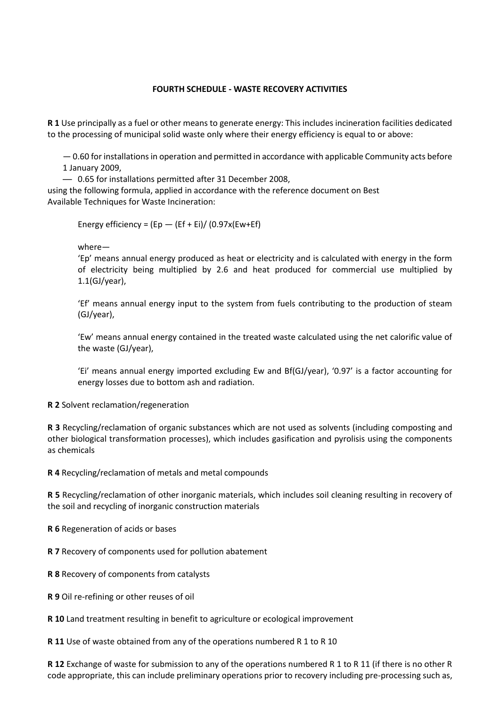#### **FOURTH SCHEDULE - WASTE RECOVERY ACTIVITIES**

**R 1** Use principally as a fuel or other means to generate energy: This includes incineration facilities dedicated to the processing of municipal solid waste only where their energy efficiency is equal to or above:

— 0.60 for installations in operation and permitted in accordance with applicable Community acts before 1 January 2009,

— 0.65 for installations permitted after 31 December 2008,

using the following formula, applied in accordance with the reference document on Best Available Techniques for Waste Incineration:

Energy efficiency =  $(Ep - (Ef + Ei)/(0.97x(Ew + Ef))$ 

where—

'Ep' means annual energy produced as heat or electricity and is calculated with energy in the form of electricity being multiplied by 2.6 and heat produced for commercial use multiplied by 1.1(GJ/year),

'Ef' means annual energy input to the system from fuels contributing to the production of steam (GJ/year),

'Ew' means annual energy contained in the treated waste calculated using the net calorific value of the waste (GJ/year),

'Ei' means annual energy imported excluding Ew and Bf(GJ/year), '0.97' is a factor accounting for energy losses due to bottom ash and radiation.

**R 2** Solvent reclamation/regeneration

**R 3** Recycling/reclamation of organic substances which are not used as solvents (including composting and other biological transformation processes), which includes gasification and pyrolisis using the components as chemicals

**R 4** Recycling/reclamation of metals and metal compounds

**R 5** Recycling/reclamation of other inorganic materials, which includes soil cleaning resulting in recovery of the soil and recycling of inorganic construction materials

**R 6** Regeneration of acids or bases

**R 7** Recovery of components used for pollution abatement

**R 8** Recovery of components from catalysts

**R 9** Oil re-refining or other reuses of oil

**R 10** Land treatment resulting in benefit to agriculture or ecological improvement

**R 11** Use of waste obtained from any of the operations numbered R 1 to R 10

**R 12** Exchange of waste for submission to any of the operations numbered R 1 to R 11 (if there is no other R code appropriate, this can include preliminary operations prior to recovery including pre-processing such as,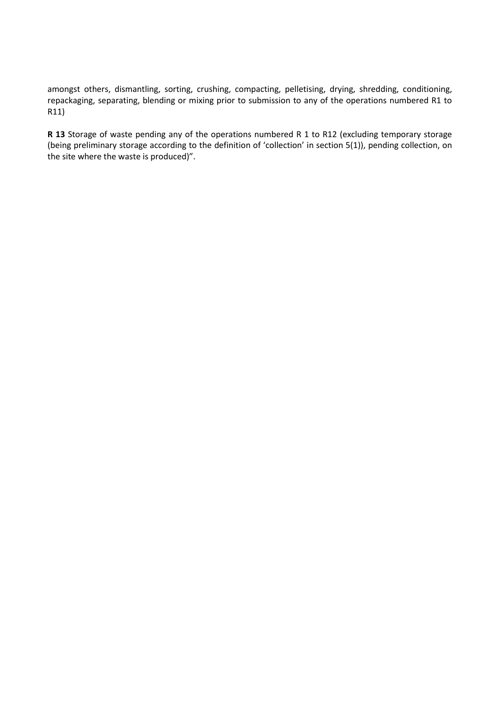amongst others, dismantling, sorting, crushing, compacting, pelletising, drying, shredding, conditioning, repackaging, separating, blending or mixing prior to submission to any of the operations numbered R1 to R11)

**R 13** Storage of waste pending any of the operations numbered R 1 to R12 (excluding temporary storage (being preliminary storage according to the definition of 'collection' in section 5(1)), pending collection, on the site where the waste is produced)".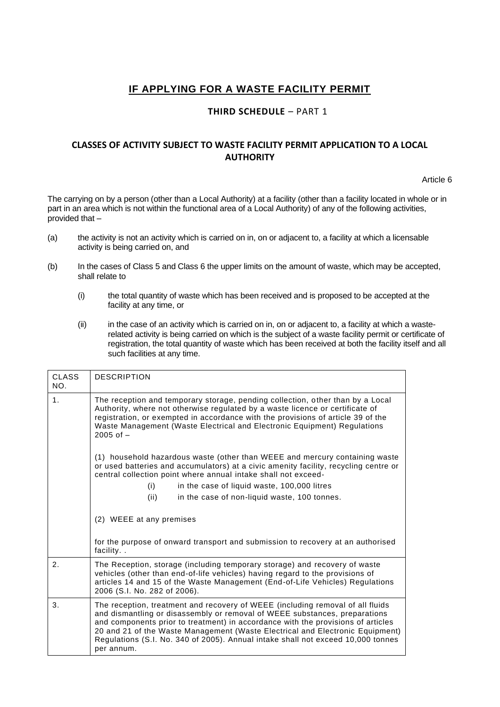## **IF APPLYING FOR A WASTE FACILITY PERMIT**

### **THIRD SCHEDULE** – PART 1

### **CLASSES OF ACTIVITY SUBJECT TO WASTE FACILITY PERMIT APPLICATION TO A LOCAL AUTHORITY**

Article 6

The carrying on by a person (other than a Local Authority) at a facility (other than a facility located in whole or in part in an area which is not within the functional area of a Local Authority) of any of the following activities, provided that –

- (a) the activity is not an activity which is carried on in, on or adjacent to, a facility at which a licensable activity is being carried on, and
- (b) In the cases of Class 5 and Class 6 the upper limits on the amount of waste, which may be accepted, shall relate to
	- (i) the total quantity of waste which has been received and is proposed to be accepted at the facility at any time, or
	- (ii) in the case of an activity which is carried on in, on or adjacent to, a facility at which a wasterelated activity is being carried on which is the subject of a waste facility permit or certificate of registration, the total quantity of waste which has been received at both the facility itself and all such facilities at any time.

| <b>CLASS</b><br>NO. | <b>DESCRIPTION</b>                                                                                                                                                                                                                                                                                                                                                                                                                                                                                                                                                                        |  |  |
|---------------------|-------------------------------------------------------------------------------------------------------------------------------------------------------------------------------------------------------------------------------------------------------------------------------------------------------------------------------------------------------------------------------------------------------------------------------------------------------------------------------------------------------------------------------------------------------------------------------------------|--|--|
| 1 <sub>1</sub>      | The reception and temporary storage, pending collection, other than by a Local<br>Authority, where not otherwise regulated by a waste licence or certificate of<br>registration, or exempted in accordance with the provisions of article 39 of the<br>Waste Management (Waste Electrical and Electronic Equipment) Regulations<br>$2005$ of $-$<br>(1) household hazardous waste (other than WEEE and mercury containing waste<br>or used batteries and accumulators) at a civic amenity facility, recycling centre or<br>central collection point where annual intake shall not exceed- |  |  |
|                     |                                                                                                                                                                                                                                                                                                                                                                                                                                                                                                                                                                                           |  |  |
|                     | (i)<br>in the case of liquid waste, 100,000 litres                                                                                                                                                                                                                                                                                                                                                                                                                                                                                                                                        |  |  |
|                     | (ii)<br>in the case of non-liquid waste, 100 tonnes.                                                                                                                                                                                                                                                                                                                                                                                                                                                                                                                                      |  |  |
|                     | (2) WEEE at any premises                                                                                                                                                                                                                                                                                                                                                                                                                                                                                                                                                                  |  |  |
|                     | for the purpose of onward transport and submission to recovery at an authorised<br>facility                                                                                                                                                                                                                                                                                                                                                                                                                                                                                               |  |  |
| 2.                  | The Reception, storage (including temporary storage) and recovery of waste<br>vehicles (other than end-of-life vehicles) having regard to the provisions of<br>articles 14 and 15 of the Waste Management (End-of-Life Vehicles) Regulations<br>2006 (S.I. No. 282 of 2006).                                                                                                                                                                                                                                                                                                              |  |  |
| 3.                  | The reception, treatment and recovery of WEEE (including removal of all fluids<br>and dismantling or disassembly or removal of WEEE substances, preparations<br>and components prior to treatment) in accordance with the provisions of articles<br>20 and 21 of the Waste Management (Waste Electrical and Electronic Equipment)<br>Regulations (S.I. No. 340 of 2005). Annual intake shall not exceed 10,000 tonnes<br>per annum.                                                                                                                                                       |  |  |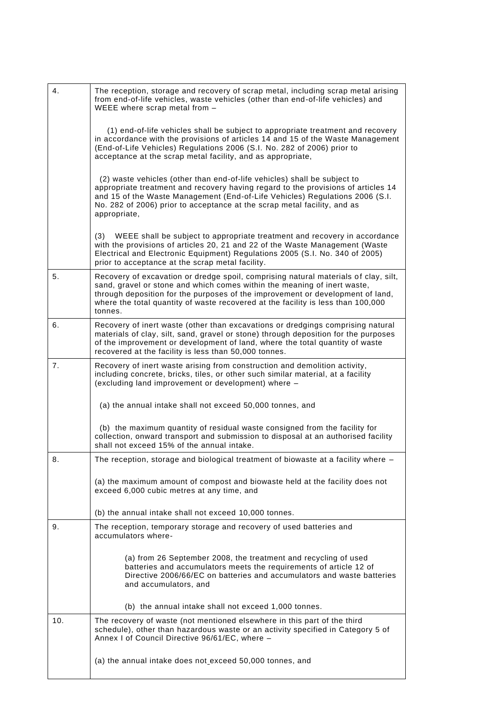| 4.  | The reception, storage and recovery of scrap metal, including scrap metal arising<br>from end-of-life vehicles, waste vehicles (other than end-of-life vehicles) and<br>WEEE where scrap metal from -                                                                                                                                            |
|-----|--------------------------------------------------------------------------------------------------------------------------------------------------------------------------------------------------------------------------------------------------------------------------------------------------------------------------------------------------|
|     | (1) end-of-life vehicles shall be subject to appropriate treatment and recovery<br>in accordance with the provisions of articles 14 and 15 of the Waste Management<br>(End-of-Life Vehicles) Regulations 2006 (S.I. No. 282 of 2006) prior to<br>acceptance at the scrap metal facility, and as appropriate,                                     |
|     | (2) waste vehicles (other than end-of-life vehicles) shall be subject to<br>appropriate treatment and recovery having regard to the provisions of articles 14<br>and 15 of the Waste Management (End-of-Life Vehicles) Regulations 2006 (S.I.<br>No. 282 of 2006) prior to acceptance at the scrap metal facility, and as<br>appropriate,        |
|     | WEEE shall be subject to appropriate treatment and recovery in accordance<br>(3)<br>with the provisions of articles 20, 21 and 22 of the Waste Management (Waste<br>Electrical and Electronic Equipment) Regulations 2005 (S.I. No. 340 of 2005)<br>prior to acceptance at the scrap metal facility.                                             |
| 5.  | Recovery of excavation or dredge spoil, comprising natural materials of clay, silt,<br>sand, gravel or stone and which comes within the meaning of inert waste,<br>through deposition for the purposes of the improvement or development of land,<br>where the total quantity of waste recovered at the facility is less than 100,000<br>tonnes. |
| 6.  | Recovery of inert waste (other than excavations or dredgings comprising natural<br>materials of clay, silt, sand, gravel or stone) through deposition for the purposes<br>of the improvement or development of land, where the total quantity of waste<br>recovered at the facility is less than 50,000 tonnes.                                  |
| 7.  | Recovery of inert waste arising from construction and demolition activity,<br>including concrete, bricks, tiles, or other such similar material, at a facility<br>(excluding land improvement or development) where -                                                                                                                            |
|     | (a) the annual intake shall not exceed 50,000 tonnes, and                                                                                                                                                                                                                                                                                        |
|     | (b) the maximum quantity of residual waste consigned from the facility for<br>collection, onward transport and submission to disposal at an authorised facility<br>shall not exceed 15% of the annual intake.                                                                                                                                    |
| 8.  | The reception, storage and biological treatment of biowaste at a facility where -                                                                                                                                                                                                                                                                |
|     | (a) the maximum amount of compost and biowaste held at the facility does not<br>exceed 6,000 cubic metres at any time, and                                                                                                                                                                                                                       |
|     | (b) the annual intake shall not exceed 10,000 tonnes.                                                                                                                                                                                                                                                                                            |
| 9.  | The reception, temporary storage and recovery of used batteries and<br>accumulators where-                                                                                                                                                                                                                                                       |
|     | (a) from 26 September 2008, the treatment and recycling of used<br>batteries and accumulators meets the requirements of article 12 of<br>Directive 2006/66/EC on batteries and accumulators and waste batteries<br>and accumulators, and                                                                                                         |
|     | (b) the annual intake shall not exceed 1,000 tonnes.                                                                                                                                                                                                                                                                                             |
| 10. | The recovery of waste (not mentioned elsewhere in this part of the third<br>schedule), other than hazardous waste or an activity specified in Category 5 of<br>Annex I of Council Directive 96/61/EC, where -                                                                                                                                    |
|     | (a) the annual intake does not exceed 50,000 tonnes, and                                                                                                                                                                                                                                                                                         |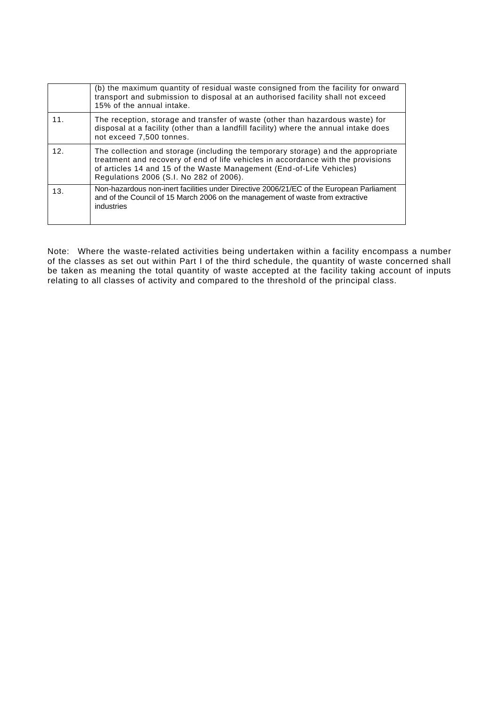|                 | (b) the maximum quantity of residual waste consigned from the facility for onward<br>transport and submission to disposal at an authorised facility shall not exceed<br>15% of the annual intake.                                                                                       |
|-----------------|-----------------------------------------------------------------------------------------------------------------------------------------------------------------------------------------------------------------------------------------------------------------------------------------|
| 11.             | The reception, storage and transfer of waste (other than hazardous waste) for<br>disposal at a facility (other than a landfill facility) where the annual intake does<br>not exceed 7,500 tonnes.                                                                                       |
| 12 <sub>1</sub> | The collection and storage (including the temporary storage) and the appropriate<br>treatment and recovery of end of life vehicles in accordance with the provisions<br>of articles 14 and 15 of the Waste Management (End-of-Life Vehicles)<br>Regulations 2006 (S.I. No 282 of 2006). |
| 13.             | Non-hazardous non-inert facilities under Directive 2006/21/EC of the European Parliament<br>and of the Council of 15 March 2006 on the management of waste from extractive<br>industries                                                                                                |

Note: Where the waste-related activities being undertaken within a facility encompass a number of the classes as set out within Part I of the third schedule, the quantity of waste concerned shall be taken as meaning the total quantity of waste accepted at the facility taking account of inputs relating to all classes of activity and compared to the threshold of the principal class.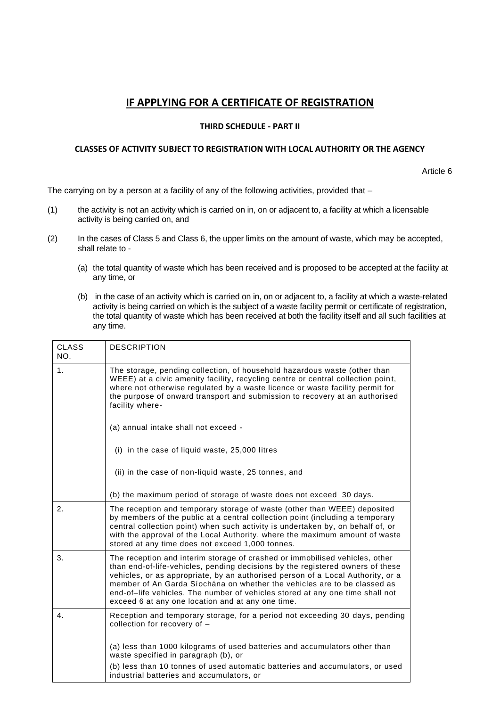# **IF APPLYING FOR A CERTIFICATE OF REGISTRATION**

#### **THIRD SCHEDULE - PART II**

#### **CLASSES OF ACTIVITY SUBJECT TO REGISTRATION WITH LOCAL AUTHORITY OR THE AGENCY**

Article 6

The carrying on by a person at a facility of any of the following activities, provided that  $-$ 

- (1) the activity is not an activity which is carried on in, on or adjacent to, a facility at which a licensable activity is being carried on, and
- (2) In the cases of Class 5 and Class 6, the upper limits on the amount of waste, which may be accepted, shall relate to -
	- (a) the total quantity of waste which has been received and is proposed to be accepted at the facility at any time, or
	- (b) in the case of an activity which is carried on in, on or adjacent to, a facility at which a waste-related activity is being carried on which is the subject of a waste facility permit or certificate of registration, the total quantity of waste which has been received at both the facility itself and all such facilities at any time.

| <b>CLASS</b><br>NO. | <b>DESCRIPTION</b>                                                                                                                                                                                                                                                                                                                                                                                                                                                 |
|---------------------|--------------------------------------------------------------------------------------------------------------------------------------------------------------------------------------------------------------------------------------------------------------------------------------------------------------------------------------------------------------------------------------------------------------------------------------------------------------------|
| 1.                  | The storage, pending collection, of household hazardous waste (other than<br>WEEE) at a civic amenity facility, recycling centre or central collection point,<br>where not otherwise regulated by a waste licence or waste facility permit for<br>the purpose of onward transport and submission to recovery at an authorised<br>facility where-                                                                                                                   |
|                     | (a) annual intake shall not exceed -                                                                                                                                                                                                                                                                                                                                                                                                                               |
|                     | (i) in the case of liquid waste, 25,000 litres                                                                                                                                                                                                                                                                                                                                                                                                                     |
|                     | (ii) in the case of non-liquid waste, 25 tonnes, and                                                                                                                                                                                                                                                                                                                                                                                                               |
|                     | (b) the maximum period of storage of waste does not exceed 30 days.                                                                                                                                                                                                                                                                                                                                                                                                |
| 2.                  | The reception and temporary storage of waste (other than WEEE) deposited<br>by members of the public at a central collection point (including a temporary<br>central collection point) when such activity is undertaken by, on behalf of, or<br>with the approval of the Local Authority, where the maximum amount of waste<br>stored at any time does not exceed 1,000 tonnes.                                                                                    |
| 3.                  | The reception and interim storage of crashed or immobilised vehicles, other<br>than end-of-life-vehicles, pending decisions by the registered owners of these<br>vehicles, or as appropriate, by an authorised person of a Local Authority, or a<br>member of An Garda Síochána on whether the vehicles are to be classed as<br>end-of-life vehicles. The number of vehicles stored at any one time shall not<br>exceed 6 at any one location and at any one time. |
| 4.                  | Reception and temporary storage, for a period not exceeding 30 days, pending<br>collection for recovery of -                                                                                                                                                                                                                                                                                                                                                       |
|                     | (a) less than 1000 kilograms of used batteries and accumulators other than<br>waste specified in paragraph (b), or                                                                                                                                                                                                                                                                                                                                                 |
|                     | (b) less than 10 tonnes of used automatic batteries and accumulators, or used<br>industrial batteries and accumulators, or                                                                                                                                                                                                                                                                                                                                         |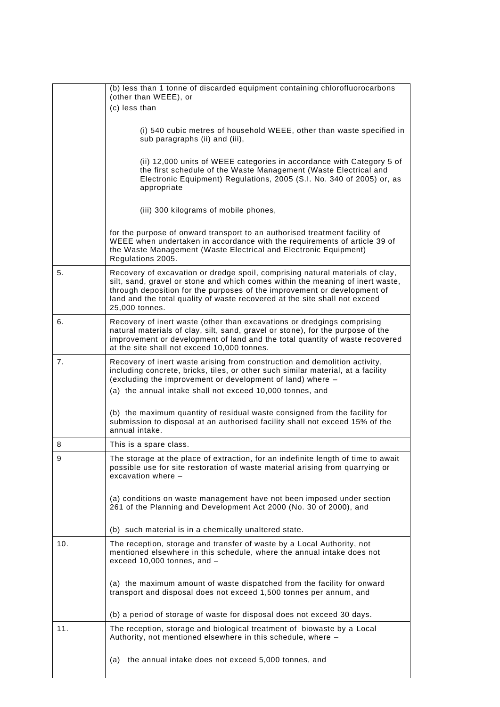|     | (b) less than 1 tonne of discarded equipment containing chlorofluorocarbons                                                                                                                                                                                                                                                                 |
|-----|---------------------------------------------------------------------------------------------------------------------------------------------------------------------------------------------------------------------------------------------------------------------------------------------------------------------------------------------|
|     | (other than WEEE), or                                                                                                                                                                                                                                                                                                                       |
|     | (c) less than                                                                                                                                                                                                                                                                                                                               |
|     | (i) 540 cubic metres of household WEEE, other than waste specified in<br>sub paragraphs (ii) and (iii),                                                                                                                                                                                                                                     |
|     | (ii) 12,000 units of WEEE categories in accordance with Category 5 of<br>the first schedule of the Waste Management (Waste Electrical and<br>Electronic Equipment) Regulations, 2005 (S.I. No. 340 of 2005) or, as<br>appropriate                                                                                                           |
|     | (iii) 300 kilograms of mobile phones,                                                                                                                                                                                                                                                                                                       |
|     | for the purpose of onward transport to an authorised treatment facility of<br>WEEE when undertaken in accordance with the requirements of article 39 of<br>the Waste Management (Waste Electrical and Electronic Equipment)<br>Regulations 2005.                                                                                            |
| 5.  | Recovery of excavation or dredge spoil, comprising natural materials of clay,<br>silt, sand, gravel or stone and which comes within the meaning of inert waste,<br>through deposition for the purposes of the improvement or development of<br>land and the total quality of waste recovered at the site shall not exceed<br>25,000 tonnes. |
| 6.  | Recovery of inert waste (other than excavations or dredgings comprising<br>natural materials of clay, silt, sand, gravel or stone), for the purpose of the<br>improvement or development of land and the total quantity of waste recovered<br>at the site shall not exceed 10,000 tonnes.                                                   |
| 7.  | Recovery of inert waste arising from construction and demolition activity,<br>including concrete, bricks, tiles, or other such similar material, at a facility<br>(excluding the improvement or development of land) where -<br>(a) the annual intake shall not exceed 10,000 tonnes, and                                                   |
|     | (b) the maximum quantity of residual waste consigned from the facility for<br>submission to disposal at an authorised facility shall not exceed 15% of the<br>annual intake.                                                                                                                                                                |
| 8   | This is a spare class.                                                                                                                                                                                                                                                                                                                      |
| 9   | The storage at the place of extraction, for an indefinite length of time to await<br>possible use for site restoration of waste material arising from quarrying or<br>excavation where $-$                                                                                                                                                  |
|     | (a) conditions on waste management have not been imposed under section<br>261 of the Planning and Development Act 2000 (No. 30 of 2000), and                                                                                                                                                                                                |
|     | (b) such material is in a chemically unaltered state.                                                                                                                                                                                                                                                                                       |
| 10. | The reception, storage and transfer of waste by a Local Authority, not<br>mentioned elsewhere in this schedule, where the annual intake does not<br>exceed 10,000 tonnes, and -                                                                                                                                                             |
|     | (a) the maximum amount of waste dispatched from the facility for onward<br>transport and disposal does not exceed 1,500 tonnes per annum, and                                                                                                                                                                                               |
|     | (b) a period of storage of waste for disposal does not exceed 30 days.                                                                                                                                                                                                                                                                      |
| 11. | The reception, storage and biological treatment of biowaste by a Local<br>Authority, not mentioned elsewhere in this schedule, where -                                                                                                                                                                                                      |
|     | the annual intake does not exceed 5,000 tonnes, and<br>(a)                                                                                                                                                                                                                                                                                  |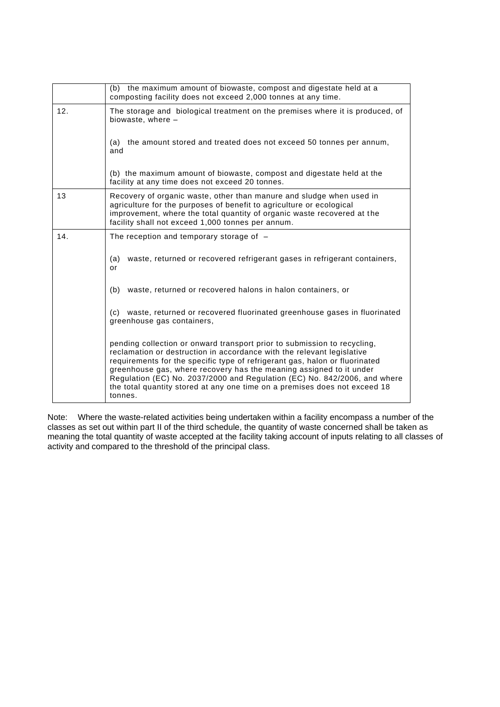|     | (b) the maximum amount of biowaste, compost and digestate held at a<br>composting facility does not exceed 2,000 tonnes at any time.                                                                                                                                                                                                                                                                                                                                           |
|-----|--------------------------------------------------------------------------------------------------------------------------------------------------------------------------------------------------------------------------------------------------------------------------------------------------------------------------------------------------------------------------------------------------------------------------------------------------------------------------------|
| 12. | The storage and biological treatment on the premises where it is produced, of<br>biowaste, where -                                                                                                                                                                                                                                                                                                                                                                             |
|     | the amount stored and treated does not exceed 50 tonnes per annum,<br>(a)<br>and                                                                                                                                                                                                                                                                                                                                                                                               |
|     | (b) the maximum amount of biowaste, compost and digestate held at the<br>facility at any time does not exceed 20 tonnes.                                                                                                                                                                                                                                                                                                                                                       |
| 13  | Recovery of organic waste, other than manure and sludge when used in<br>agriculture for the purposes of benefit to agriculture or ecological<br>improvement, where the total quantity of organic waste recovered at the<br>facility shall not exceed 1,000 tonnes per annum.                                                                                                                                                                                                   |
| 14. | The reception and temporary storage of $-$                                                                                                                                                                                                                                                                                                                                                                                                                                     |
|     | waste, returned or recovered refrigerant gases in refrigerant containers,<br>(a)<br>or                                                                                                                                                                                                                                                                                                                                                                                         |
|     | waste, returned or recovered halons in halon containers, or<br>(b)                                                                                                                                                                                                                                                                                                                                                                                                             |
|     | (c) waste, returned or recovered fluorinated greenhouse gases in fluorinated<br>greenhouse gas containers,                                                                                                                                                                                                                                                                                                                                                                     |
|     | pending collection or onward transport prior to submission to recycling,<br>reclamation or destruction in accordance with the relevant legislative<br>requirements for the specific type of refrigerant gas, halon or fluorinated<br>greenhouse gas, where recovery has the meaning assigned to it under<br>Regulation (EC) No. 2037/2000 and Regulation (EC) No. 842/2006, and where<br>the total quantity stored at any one time on a premises does not exceed 18<br>tonnes. |

Note: Where the waste-related activities being undertaken within a facility encompass a number of the classes as set out within part II of the third schedule, the quantity of waste concerned shall be taken as meaning the total quantity of waste accepted at the facility taking account of inputs relating to all classes of activity and compared to the threshold of the principal class.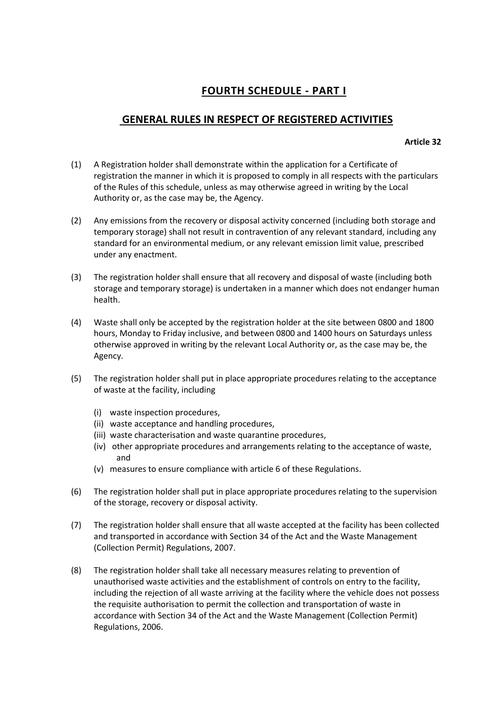# **FOURTH SCHEDULE - PART I**

### **GENERAL RULES IN RESPECT OF REGISTERED ACTIVITIES**

#### **Article 32**

- (1) A Registration holder shall demonstrate within the application for a Certificate of registration the manner in which it is proposed to comply in all respects with the particulars of the Rules of this schedule, unless as may otherwise agreed in writing by the Local Authority or, as the case may be, the Agency.
- (2) Any emissions from the recovery or disposal activity concerned (including both storage and temporary storage) shall not result in contravention of any relevant standard, including any standard for an environmental medium, or any relevant emission limit value, prescribed under any enactment.
- (3) The registration holder shall ensure that all recovery and disposal of waste (including both storage and temporary storage) is undertaken in a manner which does not endanger human health.
- (4) Waste shall only be accepted by the registration holder at the site between 0800 and 1800 hours, Monday to Friday inclusive, and between 0800 and 1400 hours on Saturdays unless otherwise approved in writing by the relevant Local Authority or, as the case may be, the Agency.
- (5) The registration holder shall put in place appropriate procedures relating to the acceptance of waste at the facility, including
	- (i) waste inspection procedures,
	- (ii) waste acceptance and handling procedures,
	- (iii) waste characterisation and waste quarantine procedures,
	- (iv) other appropriate procedures and arrangements relating to the acceptance of waste, and
	- (v) measures to ensure compliance with article 6 of these Regulations.
- (6) The registration holder shall put in place appropriate procedures relating to the supervision of the storage, recovery or disposal activity.
- (7) The registration holder shall ensure that all waste accepted at the facility has been collected and transported in accordance with Section 34 of the Act and the Waste Management (Collection Permit) Regulations, 2007.
- (8) The registration holder shall take all necessary measures relating to prevention of unauthorised waste activities and the establishment of controls on entry to the facility, including the rejection of all waste arriving at the facility where the vehicle does not possess the requisite authorisation to permit the collection and transportation of waste in accordance with Section 34 of the Act and the Waste Management (Collection Permit) Regulations, 2006.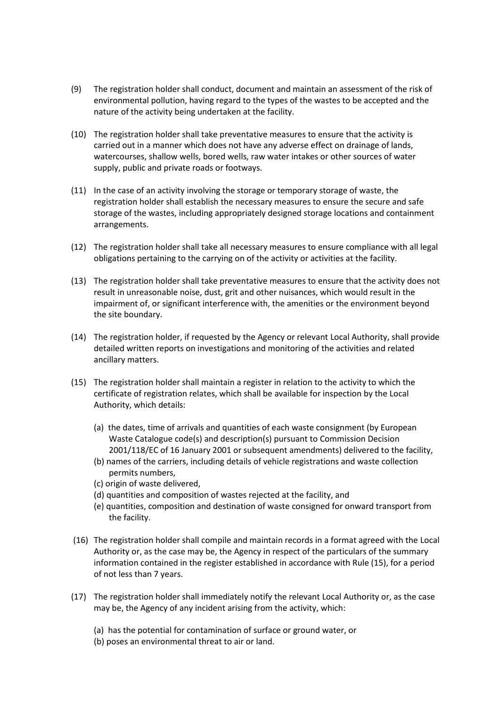- (9) The registration holder shall conduct, document and maintain an assessment of the risk of environmental pollution, having regard to the types of the wastes to be accepted and the nature of the activity being undertaken at the facility.
- (10) The registration holder shall take preventative measures to ensure that the activity is carried out in a manner which does not have any adverse effect on drainage of lands, watercourses, shallow wells, bored wells, raw water intakes or other sources of water supply, public and private roads or footways.
- (11) In the case of an activity involving the storage or temporary storage of waste, the registration holder shall establish the necessary measures to ensure the secure and safe storage of the wastes, including appropriately designed storage locations and containment arrangements.
- (12) The registration holder shall take all necessary measures to ensure compliance with all legal obligations pertaining to the carrying on of the activity or activities at the facility.
- (13) The registration holder shall take preventative measures to ensure that the activity does not result in unreasonable noise, dust, grit and other nuisances, which would result in the impairment of, or significant interference with, the amenities or the environment beyond the site boundary.
- (14) The registration holder, if requested by the Agency or relevant Local Authority, shall provide detailed written reports on investigations and monitoring of the activities and related ancillary matters.
- (15) The registration holder shall maintain a register in relation to the activity to which the certificate of registration relates, which shall be available for inspection by the Local Authority, which details:
	- (a) the dates, time of arrivals and quantities of each waste consignment (by European Waste Catalogue code(s) and description(s) pursuant to Commission Decision 2001/118/EC of 16 January 2001 or subsequent amendments) delivered to the facility,
	- (b) names of the carriers, including details of vehicle registrations and waste collection permits numbers,
	- (c) origin of waste delivered,
	- (d) quantities and composition of wastes rejected at the facility, and
	- (e) quantities, composition and destination of waste consigned for onward transport from the facility.
- (16) The registration holder shall compile and maintain records in a format agreed with the Local Authority or, as the case may be, the Agency in respect of the particulars of the summary information contained in the register established in accordance with Rule (15), for a period of not less than 7 years.
- (17) The registration holder shall immediately notify the relevant Local Authority or, as the case may be, the Agency of any incident arising from the activity, which:
	- (a) has the potential for contamination of surface or ground water, or
	- (b) poses an environmental threat to air or land.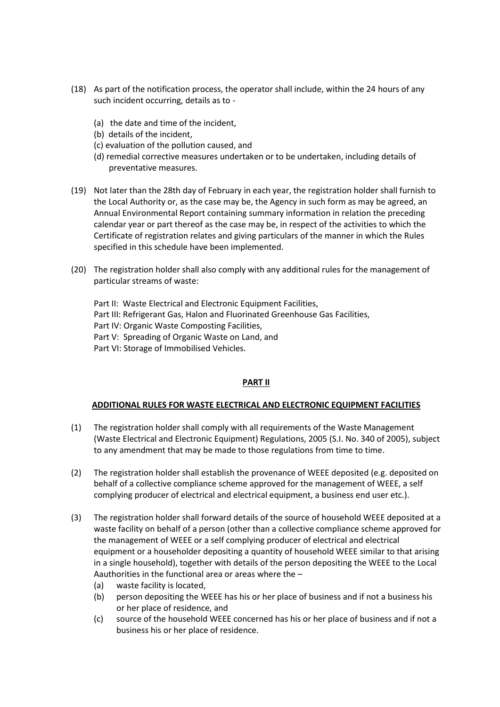- (18) As part of the notification process, the operator shall include, within the 24 hours of any such incident occurring, details as to -
	- (a) the date and time of the incident,
	- (b) details of the incident,
	- (c) evaluation of the pollution caused, and
	- (d) remedial corrective measures undertaken or to be undertaken, including details of preventative measures.
- (19) Not later than the 28th day of February in each year, the registration holder shall furnish to the Local Authority or, as the case may be, the Agency in such form as may be agreed, an Annual Environmental Report containing summary information in relation the preceding calendar year or part thereof as the case may be, in respect of the activities to which the Certificate of registration relates and giving particulars of the manner in which the Rules specified in this schedule have been implemented.
- (20) The registration holder shall also comply with any additional rules for the management of particular streams of waste:

Part II: Waste Electrical and Electronic Equipment Facilities, Part III: Refrigerant Gas, Halon and Fluorinated Greenhouse Gas Facilities, Part IV: Organic Waste Composting Facilities, Part V: Spreading of Organic Waste on Land, and Part VI: Storage of Immobilised Vehicles.

#### **PART II**

#### **ADDITIONAL RULES FOR WASTE ELECTRICAL AND ELECTRONIC EQUIPMENT FACILITIES**

- (1) The registration holder shall comply with all requirements of the Waste Management (Waste Electrical and Electronic Equipment) Regulations, 2005 (S.I. No. 340 of 2005), subject to any amendment that may be made to those regulations from time to time.
- (2) The registration holder shall establish the provenance of WEEE deposited (e.g. deposited on behalf of a collective compliance scheme approved for the management of WEEE, a self complying producer of electrical and electrical equipment, a business end user etc.).
- (3) The registration holder shall forward details of the source of household WEEE deposited at a waste facility on behalf of a person (other than a collective compliance scheme approved for the management of WEEE or a self complying producer of electrical and electrical equipment or a householder depositing a quantity of household WEEE similar to that arising in a single household), together with details of the person depositing the WEEE to the Local Aauthorities in the functional area or areas where the –
	- (a) waste facility is located,
	- (b) person depositing the WEEE has his or her place of business and if not a business his or her place of residence, and
	- (c) source of the household WEEE concerned has his or her place of business and if not a business his or her place of residence.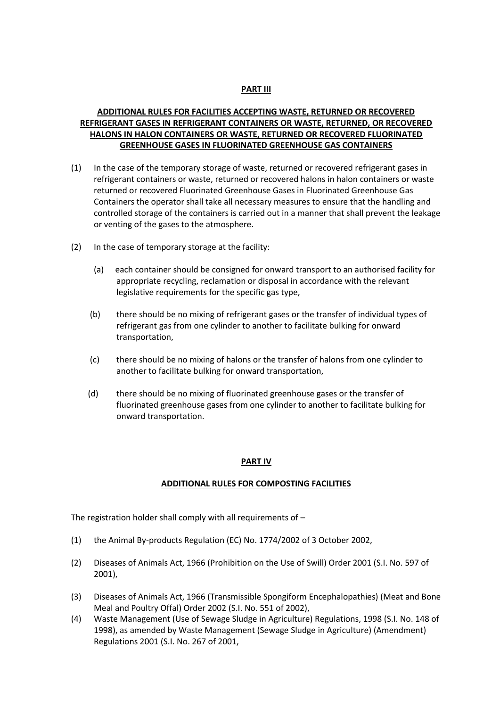#### **PART III**

### **ADDITIONAL RULES FOR FACILITIES ACCEPTING WASTE, RETURNED OR RECOVERED REFRIGERANT GASES IN REFRIGERANT CONTAINERS OR WASTE, RETURNED, OR RECOVERED HALONS IN HALON CONTAINERS OR WASTE, RETURNED OR RECOVERED FLUORINATED GREENHOUSE GASES IN FLUORINATED GREENHOUSE GAS CONTAINERS**

- (1) In the case of the temporary storage of waste, returned or recovered refrigerant gases in refrigerant containers or waste, returned or recovered halons in halon containers or waste returned or recovered Fluorinated Greenhouse Gases in Fluorinated Greenhouse Gas Containers the operator shall take all necessary measures to ensure that the handling and controlled storage of the containers is carried out in a manner that shall prevent the leakage or venting of the gases to the atmosphere.
- (2) In the case of temporary storage at the facility:
	- (a) each container should be consigned for onward transport to an authorised facility for appropriate recycling, reclamation or disposal in accordance with the relevant legislative requirements for the specific gas type,
	- (b) there should be no mixing of refrigerant gases or the transfer of individual types of refrigerant gas from one cylinder to another to facilitate bulking for onward transportation,
	- (c) there should be no mixing of halons or the transfer of halons from one cylinder to another to facilitate bulking for onward transportation,
	- (d) there should be no mixing of fluorinated greenhouse gases or the transfer of fluorinated greenhouse gases from one cylinder to another to facilitate bulking for onward transportation.

#### **PART IV**

#### **ADDITIONAL RULES FOR COMPOSTING FACILITIES**

The registration holder shall comply with all requirements of –

- (1) the Animal By-products Regulation (EC) No. 1774/2002 of 3 October 2002,
- (2) Diseases of Animals Act, 1966 (Prohibition on the Use of Swill) Order 2001 (S.I. No. 597 of 2001),
- (3) Diseases of Animals Act, 1966 (Transmissible Spongiform Encephalopathies) (Meat and Bone Meal and Poultry Offal) Order 2002 (S.I. No. 551 of 2002),
- (4) Waste Management (Use of Sewage Sludge in Agriculture) Regulations, 1998 (S.I. No. 148 of 1998), as amended by Waste Management (Sewage Sludge in Agriculture) (Amendment) Regulations 2001 (S.I. No. 267 of 2001,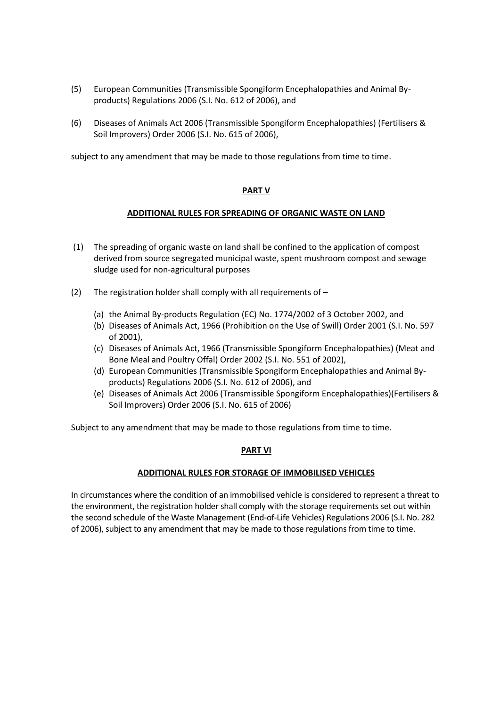- (5) European Communities (Transmissible Spongiform Encephalopathies and Animal Byproducts) Regulations 2006 (S.I. No. 612 of 2006), and
- (6) Diseases of Animals Act 2006 (Transmissible Spongiform Encephalopathies) (Fertilisers & Soil Improvers) Order 2006 (S.I. No. 615 of 2006),

subject to any amendment that may be made to those regulations from time to time.

#### **PART V**

#### **ADDITIONAL RULES FOR SPREADING OF ORGANIC WASTE ON LAND**

- (1) The spreading of organic waste on land shall be confined to the application of compost derived from source segregated municipal waste, spent mushroom compost and sewage sludge used for non-agricultural purposes
- (2) The registration holder shall comply with all requirements of
	- (a) the Animal By-products Regulation (EC) No. 1774/2002 of 3 October 2002, and
	- (b) Diseases of Animals Act, 1966 (Prohibition on the Use of Swill) Order 2001 (S.I. No. 597 of 2001),
	- (c) Diseases of Animals Act, 1966 (Transmissible Spongiform Encephalopathies) (Meat and Bone Meal and Poultry Offal) Order 2002 (S.I. No. 551 of 2002),
	- (d) European Communities (Transmissible Spongiform Encephalopathies and Animal Byproducts) Regulations 2006 (S.I. No. 612 of 2006), and
	- (e) Diseases of Animals Act 2006 (Transmissible Spongiform Encephalopathies)(Fertilisers & Soil Improvers) Order 2006 (S.I. No. 615 of 2006)

Subject to any amendment that may be made to those regulations from time to time.

#### **PART VI**

#### **ADDITIONAL RULES FOR STORAGE OF IMMOBILISED VEHICLES**

In circumstances where the condition of an immobilised vehicle is considered to represent a threat to the environment, the registration holder shall comply with the storage requirements set out within the second schedule of the Waste Management (End-of-Life Vehicles) Regulations 2006 (S.I. No. 282 of 2006), subject to any amendment that may be made to those regulations from time to time.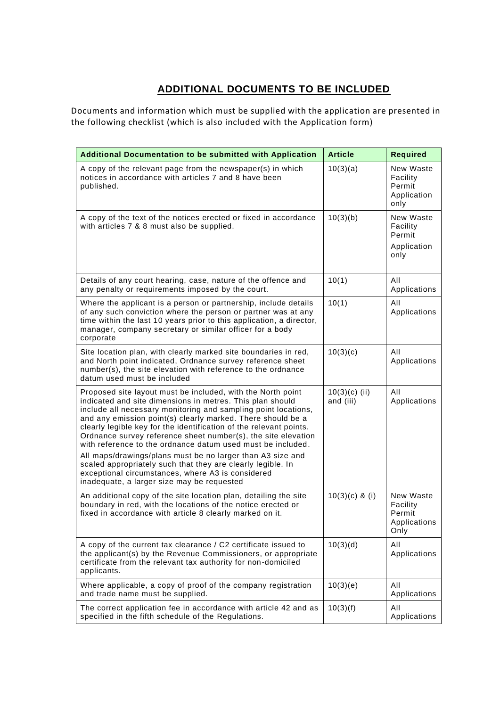# **ADDITIONAL DOCUMENTS TO BE INCLUDED**

Documents and information which must be supplied with the application are presented in the following checklist (which is also included with the Application form)

| <b>Additional Documentation to be submitted with Application</b>                                                                                                                                                                                                                                                                                                                                                                                                                                                                                                                                                                                                                                | <b>Article</b>               | <b>Required</b>                                         |
|-------------------------------------------------------------------------------------------------------------------------------------------------------------------------------------------------------------------------------------------------------------------------------------------------------------------------------------------------------------------------------------------------------------------------------------------------------------------------------------------------------------------------------------------------------------------------------------------------------------------------------------------------------------------------------------------------|------------------------------|---------------------------------------------------------|
| A copy of the relevant page from the newspaper(s) in which<br>notices in accordance with articles 7 and 8 have been<br>published.                                                                                                                                                                                                                                                                                                                                                                                                                                                                                                                                                               | 10(3)(a)                     | New Waste<br>Facility<br>Permit<br>Application<br>only  |
| A copy of the text of the notices erected or fixed in accordance<br>with articles 7 & 8 must also be supplied.                                                                                                                                                                                                                                                                                                                                                                                                                                                                                                                                                                                  | 10(3)(b)                     | New Waste<br>Facility<br>Permit<br>Application<br>only  |
| Details of any court hearing, case, nature of the offence and<br>any penalty or requirements imposed by the court.                                                                                                                                                                                                                                                                                                                                                                                                                                                                                                                                                                              | 10(1)                        | All<br>Applications                                     |
| Where the applicant is a person or partnership, include details<br>of any such conviction where the person or partner was at any<br>time within the last 10 years prior to this application, a director,<br>manager, company secretary or similar officer for a body<br>corporate                                                                                                                                                                                                                                                                                                                                                                                                               | 10(1)                        | All<br>Applications                                     |
| Site location plan, with clearly marked site boundaries in red,<br>and North point indicated, Ordnance survey reference sheet<br>number(s), the site elevation with reference to the ordnance<br>datum used must be included                                                                                                                                                                                                                                                                                                                                                                                                                                                                    | 10(3)(c)                     | All<br>Applications                                     |
| Proposed site layout must be included, with the North point<br>indicated and site dimensions in metres. This plan should<br>include all necessary monitoring and sampling point locations,<br>and any emission point(s) clearly marked. There should be a<br>clearly legible key for the identification of the relevant points.<br>Ordnance survey reference sheet number(s), the site elevation<br>with reference to the ordnance datum used must be included.<br>All maps/drawings/plans must be no larger than A3 size and<br>scaled appropriately such that they are clearly legible. In<br>exceptional circumstances, where A3 is considered<br>inadequate, a larger size may be requested | $10(3)(c)$ (ii)<br>and (iii) | All<br>Applications                                     |
| An additional copy of the site location plan, detailing the site<br>boundary in red, with the locations of the notice erected or<br>fixed in accordance with article 8 clearly marked on it.                                                                                                                                                                                                                                                                                                                                                                                                                                                                                                    | $10(3)(c)$ & (i)             | New Waste<br>Facility<br>Permit<br>Applications<br>Only |
| A copy of the current tax clearance / C2 certificate issued to<br>the applicant(s) by the Revenue Commissioners, or appropriate<br>certificate from the relevant tax authority for non-domiciled<br>applicants.                                                                                                                                                                                                                                                                                                                                                                                                                                                                                 | 10(3)(d)                     | All<br>Applications                                     |
| Where applicable, a copy of proof of the company registration<br>and trade name must be supplied.                                                                                                                                                                                                                                                                                                                                                                                                                                                                                                                                                                                               | 10(3)(e)                     | All<br>Applications                                     |
| The correct application fee in accordance with article 42 and as<br>specified in the fifth schedule of the Regulations.                                                                                                                                                                                                                                                                                                                                                                                                                                                                                                                                                                         | 10(3)(f)                     | All<br>Applications                                     |